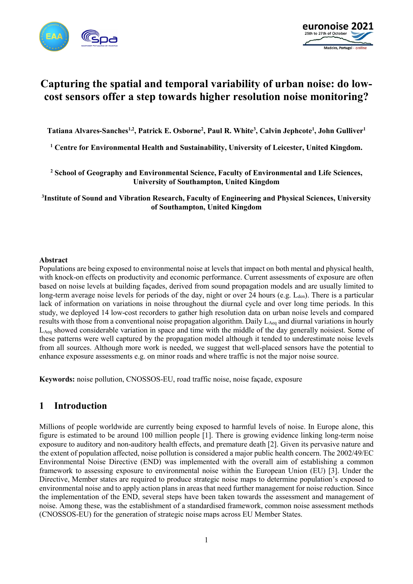



# **Capturing the spatial and temporal variability of urban noise: do lowcost sensors offer a step towards higher resolution noise monitoring?**

Tatiana Alvares-Sanches<sup>1,2</sup>, Patrick E. Osborne<sup>2</sup>, Paul R. White<sup>3</sup>, Calvin Jephcote<sup>1</sup>, John Gulliver<sup>1</sup>

**<sup>1</sup> Centre for Environmental Health and Sustainability, University of Leicester, United Kingdom.**

**<sup>2</sup> School of Geography and Environmental Science, Faculty of Environmental and Life Sciences, University of Southampton, United Kingdom**

**3 Institute of Sound and Vibration Research, Faculty of Engineering and Physical Sciences, University of Southampton, United Kingdom**

#### **Abstract**

Populations are being exposed to environmental noise at levels that impact on both mental and physical health, with knock-on effects on productivity and economic performance. Current assessments of exposure are often based on noise levels at building façades, derived from sound propagation models and are usually limited to long-term average noise levels for periods of the day, night or over 24 hours (e.g.  $L_{den}$ ). There is a particular lack of information on variations in noise throughout the diurnal cycle and over long time periods. In this study, we deployed 14 low-cost recorders to gather high resolution data on urban noise levels and compared results with those from a conventional noise propagation algorithm. Daily L<sub>Aeq</sub> and diurnal variations in hourly  $L_{\text{Aeg}}$  showed considerable variation in space and time with the middle of the day generally noisiest. Some of these patterns were well captured by the propagation model although it tended to underestimate noise levels from all sources. Although more work is needed, we suggest that well-placed sensors have the potential to enhance exposure assessments e.g. on minor roads and where traffic is not the major noise source.

**Keywords:** noise pollution, CNOSSOS-EU, road traffic noise, noise façade, exposure

### **1 Introduction**

Millions of people worldwide are currently being exposed to harmful levels of noise. In Europe alone, this figure is estimated to be around 100 million people [1]. There is growing evidence linking long-term noise exposure to auditory and non-auditory health effects, and premature death [2]. Given its pervasive nature and the extent of population affected, noise pollution is considered a major public health concern. The 2002/49/EC Environmental Noise Directive (END) was implemented with the overall aim of establishing a common framework to assessing exposure to environmental noise within the European Union (EU) [3]. Under the Directive, Member states are required to produce strategic noise maps to determine population's exposed to environmental noise and to apply action plans in areas that need further management for noise reduction. Since the implementation of the END, several steps have been taken towards the assessment and management of noise. Among these, was the establishment of a standardised framework, common noise assessment methods (CNOSSOS-EU) for the generation of strategic noise maps across EU Member States.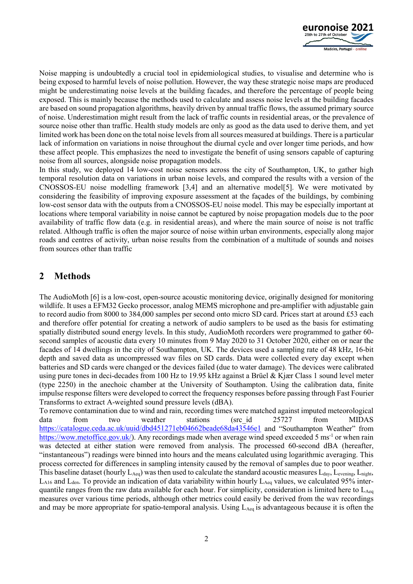

Noise mapping is undoubtedly a crucial tool in epidemiological studies, to visualise and determine who is being exposed to harmful levels of noise pollution. However, the way these strategic noise maps are produced might be underestimating noise levels at the building facades, and therefore the percentage of people being exposed. This is mainly because the methods used to calculate and assess noise levels at the building facades are based on sound propagation algorithms, heavily driven by annual traffic flows, the assumed primary source of noise. Underestimation might result from the lack of traffic counts in residential areas, or the prevalence of source noise other than traffic. Health study models are only as good as the data used to derive them, and yet limited work has been done on the total noise levels from all sources measured at buildings. There is a particular lack of information on variations in noise throughout the diurnal cycle and over longer time periods, and how these affect people. This emphasizes the need to investigate the benefit of using sensors capable of capturing noise from all sources, alongside noise propagation models.

In this study, we deployed 14 low-cost noise sensors across the city of Southampton, UK, to gather high temporal resolution data on variations in urban noise levels, and compared the results with a version of the CNOSSOS-EU noise modelling framework [3,4] and an alternative model[5]. We were motivated by considering the feasibility of improving exposure assessment at the façades of the buildings, by combining low-cost sensor data with the outputs from a CNOSSOS-EU noise model. This may be especially important at locations where temporal variability in noise cannot be captured by noise propagation models due to the poor availability of traffic flow data (e.g. in residential areas), and where the main source of noise is not traffic related. Although traffic is often the major source of noise within urban environments, especially along major roads and centres of activity, urban noise results from the combination of a multitude of sounds and noises from sources other than traffic

## **2 Methods**

The AudioMoth [6] is a low-cost, open-source acoustic monitoring device, originally designed for monitoring wildlife. It uses a EFM32 Gecko processor, analog MEMS microphone and pre-amplifier with adjustable gain to record audio from 8000 to 384,000 samples per second onto micro SD card. Prices start at around £53 each and therefore offer potential for creating a network of audio samplers to be used as the basis for estimating spatially distributed sound energy levels. In this study, AudioMoth recorders were programmed to gather 60 second samples of acoustic data every 10 minutes from 9 May 2020 to 31 October 2020, either on or near the facades of 14 dwellings in the city of Southampton, UK. The devices used a sampling rate of 48 kHz, 16-bit depth and saved data as uncompressed wav files on SD cards. Data were collected every day except when batteries and SD cards were changed or the devices failed (due to water damage). The devices were calibrated using pure tones in deci-decades from 100 Hz to 19.95 kHz against a Brüel & Kjær Class 1 sound level meter (type 2250) in the anechoic chamber at the University of Southampton. Using the calibration data, finite impulse response filters were developed to correct the frequency responses before passing through Fast Fourier Transforms to extract A-weighted sound pressure levels (dBA).

To remove contamination due to wind and rain, recording times were matched against imputed meteorological data from two weather stations (src\_id 25727 from MIDAS <https://catalogue.ceda.ac.uk/uuid/dbd451271eb04662beade68da43546e1> and "Southampton Weather" from [https://wow.metoffice.gov.uk/\)](https://wow.metoffice.gov.uk/). Any recordings made when average wind speed exceeded 5 ms<sup>-1</sup> or when rain was detected at either station were removed from analysis. The processed 60-second dBA (hereafter, "instantaneous") readings were binned into hours and the means calculated using logarithmic averaging. This process corrected for differences in sampling intensity caused by the removal of samples due to poor weather. This baseline dataset (hourly  $L_{Aeq}$ ) was then used to calculate the standard acoustic measures  $L_{day}$ , Levening,  $L_{night}$ , L<sub>A16</sub> and L<sub>den</sub>. To provide an indication of data variability within hourly L<sub>Aeq</sub> values, we calculated 95% interquantile ranges from the raw data available for each hour. For simplicity, consideration is limited here to  $L_{Aeq}$ measures over various time periods, although other metrics could easily be derived from the wav recordings and may be more appropriate for spatio-temporal analysis. Using  $L_{Aeq}$  is advantageous because it is often the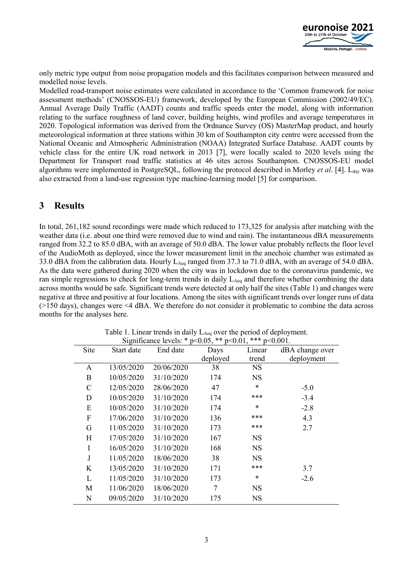

only metric type output from noise propagation models and this facilitates comparison between measured and modelled noise levels.

Modelled road-transport noise estimates were calculated in accordance to the 'Common framework for noise assessment methods' (CNOSSOS-EU) framework, developed by the European Commission (2002/49/EC). Annual Average Daily Traffic (AADT) counts and traffic speeds enter the model, along with information relating to the surface roughness of land cover, building heights, wind profiles and average temperatures in 2020. Topological information was derived from the Ordnance Survey (OS) MasterMap product, and hourly meteorological information at three stations within 30 km of Southampton city centre were accessed from the National Oceanic and Atmospheric Administration (NOAA) Integrated Surface Database. AADT counts by vehicle class for the entire UK road network in 2013 [7], were locally scaled to 2020 levels using the Department for Transport road traffic statistics at 46 sites across Southampton. CNOSSOS-EU model algorithms were implemented in PostgreSQL, following the protocol described in Morley *et al.* [4]. L<sub>day</sub> was also extracted from a land-use regression type machine-learning model [5] for comparison.

#### **3 Results**

In total, 261,182 sound recordings were made which reduced to 173,325 for analysis after matching with the weather data (i.e. about one third were removed due to wind and rain). The instantaneous dBA measurements ranged from 32.2 to 85.0 dBA, with an average of 50.0 dBA. The lower value probably reflects the floor level of the AudioMoth as deployed, since the lower measurement limit in the anechoic chamber was estimated as 33.0 dBA from the calibration data. Hourly  $L_{\text{Aeq}}$  ranged from 37.3 to 71.0 dBA, with an average of 54.0 dBA. As the data were gathered during 2020 when the city was in lockdown due to the coronavirus pandemic, we ran simple regressions to check for long-term trends in daily  $L_{\text{Aeg}}$  and therefore whether combining the data across months would be safe. Significant trends were detected at only half the sites (Table 1) and changes were negative at three and positive at four locations. Among the sites with significant trends over longer runs of data (>150 days), changes were <4 dBA. We therefore do not consider it problematic to combine the data across months for the analyses here.

| OIGIIIIICAIICE IEVEIS.<br>$V \sim 0.03$<br>$\nu$ - $\nu$ . $\nu$ .<br>.u~v.vv |            |            |          |           |                 |  |  |  |  |  |  |
|-------------------------------------------------------------------------------|------------|------------|----------|-----------|-----------------|--|--|--|--|--|--|
| Site                                                                          | Start date | End date   | Days     | Linear    | dBA change over |  |  |  |  |  |  |
|                                                                               |            |            | deployed | trend     | deployment      |  |  |  |  |  |  |
| A                                                                             | 13/05/2020 | 20/06/2020 | 38       | <b>NS</b> |                 |  |  |  |  |  |  |
| B                                                                             | 10/05/2020 | 31/10/2020 | 174      | NS        |                 |  |  |  |  |  |  |
| $\mathsf{C}$                                                                  | 12/05/2020 | 28/06/2020 | 47       | *         | $-5.0$          |  |  |  |  |  |  |
| D                                                                             | 10/05/2020 | 31/10/2020 | 174      | ***       | $-3.4$          |  |  |  |  |  |  |
| E                                                                             | 10/05/2020 | 31/10/2020 | 174      | *         | $-2.8$          |  |  |  |  |  |  |
| F                                                                             | 17/06/2020 | 31/10/2020 | 136      | ***       | 4.3             |  |  |  |  |  |  |
| G                                                                             | 11/05/2020 | 31/10/2020 | 173      | ***       | 2.7             |  |  |  |  |  |  |
| H                                                                             | 17/05/2020 | 31/10/2020 | 167      | NS        |                 |  |  |  |  |  |  |
| I                                                                             | 16/05/2020 | 31/10/2020 | 168      | <b>NS</b> |                 |  |  |  |  |  |  |
| J                                                                             | 11/05/2020 | 18/06/2020 | 38       | <b>NS</b> |                 |  |  |  |  |  |  |
| K                                                                             | 13/05/2020 | 31/10/2020 | 171      | ***       | 3.7             |  |  |  |  |  |  |
| L                                                                             | 11/05/2020 | 31/10/2020 | 173      | $\ast$    | $-2.6$          |  |  |  |  |  |  |
| M                                                                             | 11/06/2020 | 18/06/2020 | 7        | NS        |                 |  |  |  |  |  |  |
| N                                                                             | 09/05/2020 | 31/10/2020 | 175      | <b>NS</b> |                 |  |  |  |  |  |  |

Table 1. Linear trends in daily  $L_{Aeq}$  over the period of deployment. Significance levels:  $*\times 0.05$ ,  $*\times n< 0.01$ ,  $*\times n< 0.001$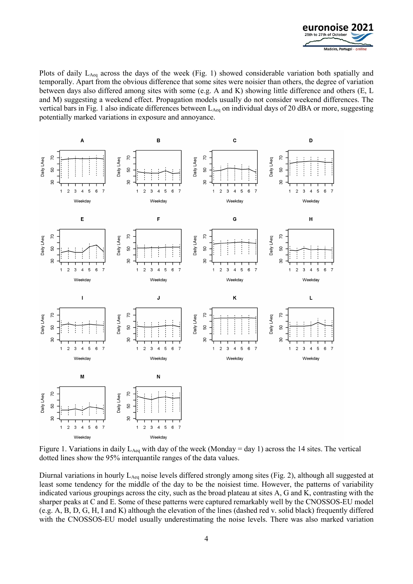

Plots of daily L<sub>Aeq</sub> across the days of the week (Fig. 1) showed considerable variation both spatially and temporally. Apart from the obvious difference that some sites were noisier than others, the degree of variation between days also differed among sites with some (e.g. A and K) showing little difference and others (E, L and M) suggesting a weekend effect. Propagation models usually do not consider weekend differences. The vertical bars in Fig. 1 also indicate differences between  $L_{Aeq}$  on individual days of 20 dBA or more, suggesting potentially marked variations in exposure and annoyance.



Figure 1. Variations in daily L<sub>Aeq</sub> with day of the week (Monday = day 1) across the 14 sites. The vertical dotted lines show the 95% interquantile ranges of the data values.

Diurnal variations in hourly LAeq noise levels differed strongly among sites (Fig. 2), although all suggested at least some tendency for the middle of the day to be the noisiest time. However, the patterns of variability indicated various groupings across the city, such as the broad plateau at sites A, G and K, contrasting with the sharper peaks at C and E. Some of these patterns were captured remarkably well by the CNOSSOS-EU model (e.g. A, B, D, G, H, I and K) although the elevation of the lines (dashed red v. solid black) frequently differed with the CNOSSOS-EU model usually underestimating the noise levels. There was also marked variation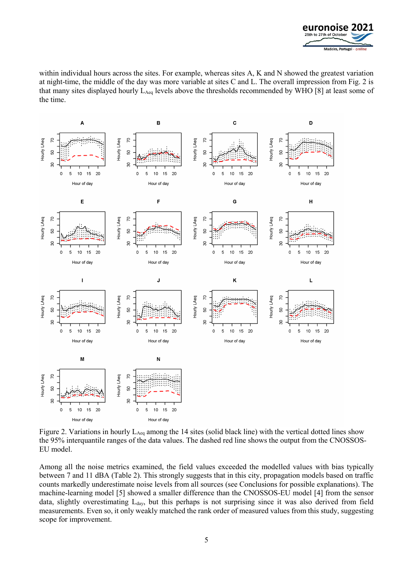

within individual hours across the sites. For example, whereas sites A, K and N showed the greatest variation at night-time, the middle of the day was more variable at sites C and L. The overall impression from Fig. 2 is that many sites displayed hourly LAeq levels above the thresholds recommended by WHO [8] at least some of the time.



Figure 2. Variations in hourly L<sub>Aeq</sub> among the 14 sites (solid black line) with the vertical dotted lines show the 95% interquantile ranges of the data values. The dashed red line shows the output from the CNOSSOS-EU model.

Among all the noise metrics examined, the field values exceeded the modelled values with bias typically between 7 and 11 dBA (Table 2). This strongly suggests that in this city, propagation models based on traffic counts markedly underestimate noise levels from all sources (see Conclusions for possible explanations). The machine-learning model [5] showed a smaller difference than the CNOSSOS-EU model [4] from the sensor data, slightly overestimating  $L_{day}$ , but this perhaps is not surprising since it was also derived from field measurements. Even so, it only weakly matched the rank order of measured values from this study, suggesting scope for improvement.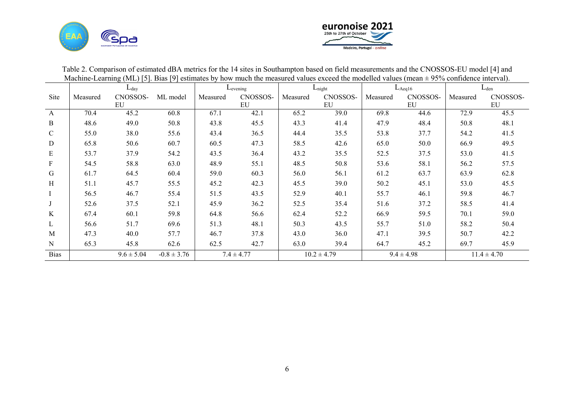



| $\alpha$ indefinite-determing (NL) [5]. Dias [5] estimates by now much the measured values exceed the modelled values (mean $\pm$ 50% commented microan). |               |                |                 |                        |                |                    |                 |             |                |           |                 |
|-----------------------------------------------------------------------------------------------------------------------------------------------------------|---------------|----------------|-----------------|------------------------|----------------|--------------------|-----------------|-------------|----------------|-----------|-----------------|
|                                                                                                                                                           | $L_{\rm day}$ |                |                 | $L$ <sub>evening</sub> |                | $L_{\text{night}}$ |                 | $L_{Aeq16}$ |                | $L_{den}$ |                 |
| Site                                                                                                                                                      | Measured      | CNOSSOS-       | ML model        | Measured               | CNOSSOS-       | Measured           | CNOSSOS-        | Measured    | CNOSSOS-       | Measured  | CNOSSOS-        |
|                                                                                                                                                           |               | EU             |                 |                        | EU             |                    | EU              |             | EU             |           | EU              |
| $\mathbf{A}$                                                                                                                                              | 70.4          | 45.2           | 60.8            | 67.1                   | 42.1           | 65.2               | 39.0            | 69.8        | 44.6           | 72.9      | 45.5            |
| B                                                                                                                                                         | 48.6          | 49.0           | 50.8            | 43.8                   | 45.5           | 43.3               | 41.4            | 47.9        | 48.4           | 50.8      | 48.1            |
| $\mathbf C$                                                                                                                                               | 55.0          | 38.0           | 55.6            | 43.4                   | 36.5           | 44.4               | 35.5            | 53.8        | 37.7           | 54.2      | 41.5            |
| D                                                                                                                                                         | 65.8          | 50.6           | 60.7            | 60.5                   | 47.3           | 58.5               | 42.6            | 65.0        | 50.0           | 66.9      | 49.5            |
| E                                                                                                                                                         | 53.7          | 37.9           | 54.2            | 43.5                   | 36.4           | 43.2               | 35.5            | 52.5        | 37.5           | 53.0      | 41.5            |
| $\mathbf{F}$                                                                                                                                              | 54.5          | 58.8           | 63.0            | 48.9                   | 55.1           | 48.5               | 50.8            | 53.6        | 58.1           | 56.2      | 57.5            |
| G                                                                                                                                                         | 61.7          | 64.5           | 60.4            | 59.0                   | 60.3           | 56.0               | 56.1            | 61.2        | 63.7           | 63.9      | 62.8            |
| $\mathbf H$                                                                                                                                               | 51.1          | 45.7           | 55.5            | 45.2                   | 42.3           | 45.5               | 39.0            | 50.2        | 45.1           | 53.0      | 45.5            |
|                                                                                                                                                           | 56.5          | 46.7           | 55.4            | 51.5                   | 43.5           | 52.9               | 40.1            | 55.7        | 46.1           | 59.8      | 46.7            |
|                                                                                                                                                           | 52.6          | 37.5           | 52.1            | 45.9                   | 36.2           | 52.5               | 35.4            | 51.6        | 37.2           | 58.5      | 41.4            |
| $\rm K$                                                                                                                                                   | 67.4          | 60.1           | 59.8            | 64.8                   | 56.6           | 62.4               | 52.2            | 66.9        | 59.5           | 70.1      | 59.0            |
| L                                                                                                                                                         | 56.6          | 51.7           | 69.6            | 51.3                   | 48.1           | 50.3               | 43.5            | 55.7        | 51.0           | 58.2      | 50.4            |
| M                                                                                                                                                         | 47.3          | 40.0           | 57.7            | 46.7                   | 37.8           | 43.0               | 36.0            | 47.1        | 39.5           | 50.7      | 42.2            |
| $\mathbf N$                                                                                                                                               | 65.3          | 45.8           | 62.6            | 62.5                   | 42.7           | 63.0               | 39.4            | 64.7        | 45.2           | 69.7      | 45.9            |
| <b>Bias</b>                                                                                                                                               |               | $9.6 \pm 5.04$ | $-0.8 \pm 3.76$ |                        | $7.4 \pm 4.77$ |                    | $10.2 \pm 4.79$ |             | $9.4 \pm 4.98$ |           | $11.4 \pm 4.70$ |

Table 2. Comparison of estimated dBA metrics for the 14 sites in Southampton based on field measurements and the CNOSSOS-EU model [4] and Machine-Learning (ML) [5]. Bias [9] estimates by how much the measured values exceed the modelled values (mean  $\pm$  95% confidence interval).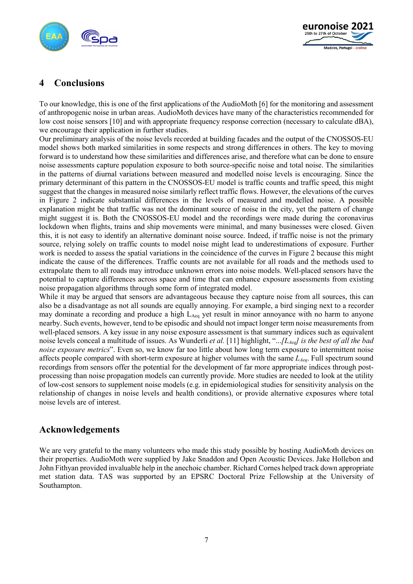



# **4 Conclusions**

To our knowledge, this is one of the first applications of the AudioMoth [6] for the monitoring and assessment of anthropogenic noise in urban areas. AudioMoth devices have many of the characteristics recommended for low cost noise sensors [10] and with appropriate frequency response correction (necessary to calculate dBA), we encourage their application in further studies.

Our preliminary analysis of the noise levels recorded at building facades and the output of the CNOSSOS-EU model shows both marked similarities in some respects and strong differences in others. The key to moving forward is to understand how these similarities and differences arise, and therefore what can be done to ensure noise assessments capture population exposure to both source-specific noise and total noise. The similarities in the patterns of diurnal variations between measured and modelled noise levels is encouraging. Since the primary determinant of this pattern in the CNOSSOS-EU model is traffic counts and traffic speed, this might suggest that the changes in measured noise similarly reflect traffic flows. However, the elevations of the curves in Figure 2 indicate substantial differences in the levels of measured and modelled noise. A possible explanation might be that traffic was not the dominant source of noise in the city, yet the pattern of change might suggest it is. Both the CNOSSOS-EU model and the recordings were made during the coronavirus lockdown when flights, trains and ship movements were minimal, and many businesses were closed. Given this, it is not easy to identify an alternative dominant noise source. Indeed, if traffic noise is not the primary source, relying solely on traffic counts to model noise might lead to underestimations of exposure. Further work is needed to assess the spatial variations in the coincidence of the curves in Figure 2 because this might indicate the cause of the differences. Traffic counts are not available for all roads and the methods used to extrapolate them to all roads may introduce unknown errors into noise models. Well-placed sensors have the potential to capture differences across space and time that can enhance exposure assessments from existing noise propagation algorithms through some form of integrated model.

While it may be argued that sensors are advantageous because they capture noise from all sources, this can also be a disadvantage as not all sounds are equally annoying. For example, a bird singing next to a recorder may dominate a recording and produce a high  $L_{Aeq}$  yet result in minor annoyance with no harm to anyone nearby. Such events, however, tend to be episodic and should not impact longer term noise measurements from well-placed sensors. A key issue in any noise exposure assessment is that summary indices such as equivalent noise levels conceal a multitude of issues. As Wunderli *et al.* [11] highlight, "...*[LAeq] is the best of all the bad noise exposure metrics*". Even so, we know far too little about how long term exposure to intermittent noise affects people compared with short-term exposure at higher volumes with the same *L<sub>Aeq</sub>*. Full spectrum sound recordings from sensors offer the potential for the development of far more appropriate indices through postprocessing than noise propagation models can currently provide. More studies are needed to look at the utility of low-cost sensors to supplement noise models (e.g. in epidemiological studies for sensitivity analysis on the relationship of changes in noise levels and health conditions), or provide alternative exposures where total noise levels are of interest.

# **Acknowledgements**

We are very grateful to the many volunteers who made this study possible by hosting AudioMoth devices on their properties. AudioMoth were supplied by Jake Snaddon and Open Acoustic Devices. Jake Hollebon and John Fithyan provided invaluable help in the anechoic chamber. Richard Cornes helped track down appropriate met station data. TAS was supported by an EPSRC Doctoral Prize Fellowship at the University of Southampton.